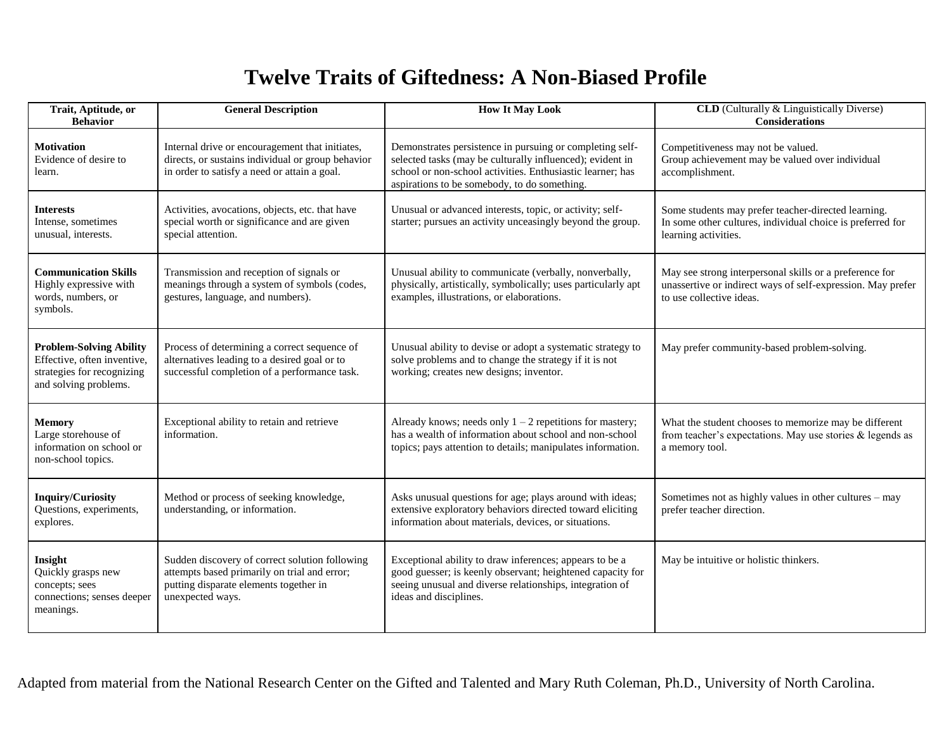## **Twelve Traits of Giftedness: A Non-Biased Profile**

| Trait, Aptitude, or<br><b>Behavior</b>                                                                               | <b>General Description</b>                                                                                                                                   | <b>How It May Look</b>                                                                                                                                                                                                              | <b>CLD</b> (Culturally & Linguistically Diverse)<br><b>Considerations</b>                                                                          |
|----------------------------------------------------------------------------------------------------------------------|--------------------------------------------------------------------------------------------------------------------------------------------------------------|-------------------------------------------------------------------------------------------------------------------------------------------------------------------------------------------------------------------------------------|----------------------------------------------------------------------------------------------------------------------------------------------------|
| <b>Motivation</b><br>Evidence of desire to<br>learn.                                                                 | Internal drive or encouragement that initiates,<br>directs, or sustains individual or group behavior<br>in order to satisfy a need or attain a goal.         | Demonstrates persistence in pursuing or completing self-<br>selected tasks (may be culturally influenced); evident in<br>school or non-school activities. Enthusiastic learner; has<br>aspirations to be somebody, to do something. | Competitiveness may not be valued.<br>Group achievement may be valued over individual<br>accomplishment.                                           |
| <b>Interests</b><br>Intense, sometimes<br>unusual, interests.                                                        | Activities, avocations, objects, etc. that have<br>special worth or significance and are given<br>special attention.                                         | Unusual or advanced interests, topic, or activity; self-<br>starter; pursues an activity unceasingly beyond the group.                                                                                                              | Some students may prefer teacher-directed learning.<br>In some other cultures, individual choice is preferred for<br>learning activities.          |
| <b>Communication Skills</b><br>Highly expressive with<br>words, numbers, or<br>symbols.                              | Transmission and reception of signals or<br>meanings through a system of symbols (codes,<br>gestures, language, and numbers).                                | Unusual ability to communicate (verbally, nonverbally,<br>physically, artistically, symbolically; uses particularly apt<br>examples, illustrations, or elaborations.                                                                | May see strong interpersonal skills or a preference for<br>unassertive or indirect ways of self-expression. May prefer<br>to use collective ideas. |
| <b>Problem-Solving Ability</b><br>Effective, often inventive,<br>strategies for recognizing<br>and solving problems. | Process of determining a correct sequence of<br>alternatives leading to a desired goal or to<br>successful completion of a performance task.                 | Unusual ability to devise or adopt a systematic strategy to<br>solve problems and to change the strategy if it is not<br>working; creates new designs; inventor.                                                                    | May prefer community-based problem-solving.                                                                                                        |
| <b>Memory</b><br>Large storehouse of<br>information on school or<br>non-school topics.                               | Exceptional ability to retain and retrieve<br>information.                                                                                                   | Already knows; needs only $1 - 2$ repetitions for mastery;<br>has a wealth of information about school and non-school<br>topics; pays attention to details; manipulates information.                                                | What the student chooses to memorize may be different<br>from teacher's expectations. May use stories $&$ legends as<br>a memory tool.             |
| <b>Inquiry/Curiosity</b><br>Questions, experiments,<br>explores.                                                     | Method or process of seeking knowledge,<br>understanding, or information.                                                                                    | Asks unusual questions for age; plays around with ideas;<br>extensive exploratory behaviors directed toward eliciting<br>information about materials, devices, or situations.                                                       | Sometimes not as highly values in other cultures – may<br>prefer teacher direction.                                                                |
| Insight<br>Quickly grasps new<br>concepts; sees<br>connections; senses deeper<br>meanings.                           | Sudden discovery of correct solution following<br>attempts based primarily on trial and error;<br>putting disparate elements together in<br>unexpected ways. | Exceptional ability to draw inferences; appears to be a<br>good guesser; is keenly observant; heightened capacity for<br>seeing unusual and diverse relationships, integration of<br>ideas and disciplines.                         | May be intuitive or holistic thinkers.                                                                                                             |